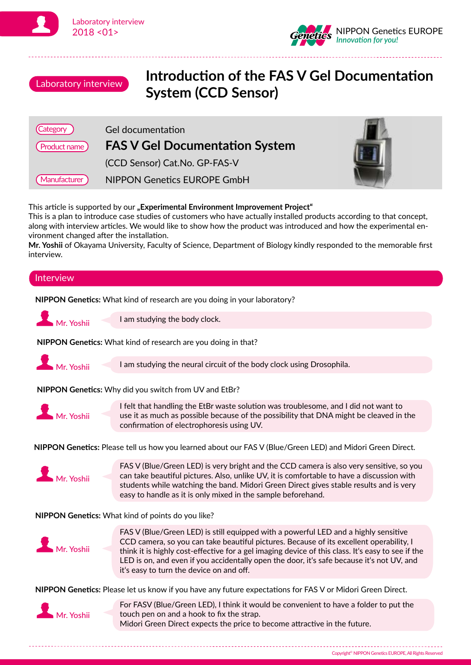





## Introduction of the **FAS V Gel Documentation System (CCD Sensor)**

| Category      | <b>Gel documentation</b>              |  |
|---------------|---------------------------------------|--|
| Product name) | <b>FAS V Gel Documentation System</b> |  |
|               | (CCD Sensor) Cat.No. GP-FAS-V         |  |
| Manufacturer  | NIPPON Genetics EUROPE GmbH           |  |

This article is supported by our "**Experimental Environment Improvement Project**"

This is a plan to introduce case studies of customers who have actually installed products according to that concept, along with interview articles. We would like to show how the product was introduced and how the experimental environment changed after the installation.

**Mr. Yoshii** of Okayama University, Faculty of Science, Department of Biology kindly responded to the memorable first interview.

## **NIPPON Genetics:** What kind of research are you doing in your laboratory? **Interview** I am studying the body clock. **NIPPON Genetics:** What kind of research are you doing in that? Mr. Yoshii **NIPPON Genetics:** Why did you switch from UV and EtBr? **NIPPON Genetics:** Please tell us how you learned about our FAS V (Blue/Green LED) and Midori Green Direct. Mr. Yoshii **I** am studying the neural circuit of the body clock using Drosophila. Mr. Yoshii I felt that handling the EtBr waste solution was troublesome, and I did not want to use it as much as possible because of the possibility that DNA might be cleaved in the confirmation of electrophoresis using UV. FAS V (Blue/Green LED) is very bright and the CCD camera is also very sensitive, so you can take beautiful pictures. Also, unlike UV, it is comfortable to have a discussion with



students while watching the band. Midori Green Direct gives stable results and is very easy to handle as it is only mixed in the sample beforehand.

**NIPPON Genetics:** What kind of points do you like?



FAS V (Blue/Green LED) is still equipped with a powerful LED and a highly sensitive CCD camera, so you can take beautiful pictures. Because of its excellent operability, I think it is highly cost-effective for a gel imaging device of this class. It's easy to see if the LED is on, and even if you accidentally open the door, it's safe because it's not UV, and it's easy to turn the device on and off.

**NIPPON Genetics:** Please let us know if you have any future expectations for FAS V or Midori Green Direct.



For FASV (Blue/Green LED), I think it would be convenient to have a folder to put the touch pen on and a hook to fix the strap. Midori Green Direct expects the price to become attractive in the future.